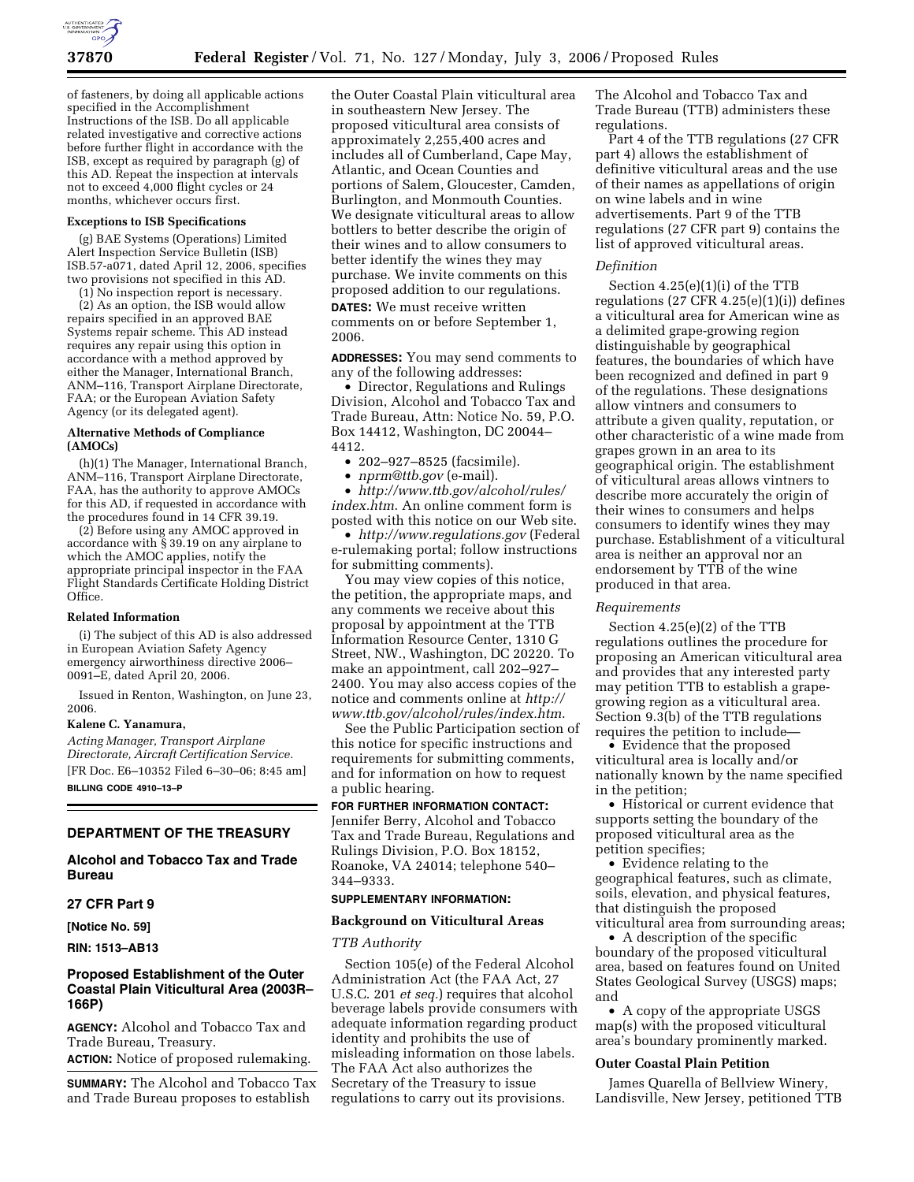

of fasteners, by doing all applicable actions specified in the Accomplishment Instructions of the ISB. Do all applicable related investigative and corrective actions before further flight in accordance with the ISB, except as required by paragraph (g) of this AD. Repeat the inspection at intervals not to exceed 4,000 flight cycles or 24 months, whichever occurs first.

### **Exceptions to ISB Specifications**

(g) BAE Systems (Operations) Limited Alert Inspection Service Bulletin (ISB) ISB.57-a071, dated April 12, 2006, specifies two provisions not specified in this AD.

(1) No inspection report is necessary.

(2) As an option, the ISB would allow repairs specified in an approved BAE Systems repair scheme. This AD instead requires any repair using this option in accordance with a method approved by either the Manager, International Branch, ANM–116, Transport Airplane Directorate, FAA; or the European Aviation Safety Agency (or its delegated agent).

### **Alternative Methods of Compliance (AMOCs)**

(h)(1) The Manager, International Branch, ANM–116, Transport Airplane Directorate, FAA, has the authority to approve AMOCs for this AD, if requested in accordance with the procedures found in 14 CFR 39.19.

(2) Before using any AMOC approved in accordance with § 39.19 on any airplane to which the AMOC applies, notify the appropriate principal inspector in the FAA Flight Standards Certificate Holding District Office.

#### **Related Information**

(i) The subject of this AD is also addressed in European Aviation Safety Agency emergency airworthiness directive 2006– 0091–E, dated April 20, 2006.

Issued in Renton, Washington, on June 23, 2006.

#### **Kalene C. Yanamura,**

*Acting Manager, Transport Airplane Directorate, Aircraft Certification Service.*  [FR Doc. E6–10352 Filed 6–30–06; 8:45 am] **BILLING CODE 4910–13–P** 

# **DEPARTMENT OF THE TREASURY**

# **Alcohol and Tobacco Tax and Trade Bureau**

### **27 CFR Part 9**

**[Notice No. 59]** 

#### **RIN: 1513–AB13**

# **Proposed Establishment of the Outer Coastal Plain Viticultural Area (2003R– 166P)**

**AGENCY:** Alcohol and Tobacco Tax and Trade Bureau, Treasury.

**ACTION:** Notice of proposed rulemaking.

**SUMMARY:** The Alcohol and Tobacco Tax and Trade Bureau proposes to establish

the Outer Coastal Plain viticultural area in southeastern New Jersey. The proposed viticultural area consists of approximately 2,255,400 acres and includes all of Cumberland, Cape May, Atlantic, and Ocean Counties and portions of Salem, Gloucester, Camden, Burlington, and Monmouth Counties. We designate viticultural areas to allow bottlers to better describe the origin of their wines and to allow consumers to better identify the wines they may purchase. We invite comments on this proposed addition to our regulations. **DATES:** We must receive written comments on or before September 1, 2006.

**ADDRESSES:** You may send comments to any of the following addresses:

• Director, Regulations and Rulings Division, Alcohol and Tobacco Tax and Trade Bureau, Attn: Notice No. 59, P.O. Box 14412, Washington, DC 20044– 4412.

- 202–927–8525 (facsimile).
- *nprm@ttb.gov* (e-mail).

• *http://www.ttb.gov/alcohol/rules/ index.htm*. An online comment form is posted with this notice on our Web site.

• *http://www.regulations.gov* (Federal e-rulemaking portal; follow instructions for submitting comments).

You may view copies of this notice, the petition, the appropriate maps, and any comments we receive about this proposal by appointment at the TTB Information Resource Center, 1310 G Street, NW., Washington, DC 20220. To make an appointment, call 202–927– 2400. You may also access copies of the notice and comments online at *http:// www.ttb.gov/alcohol/rules/index.htm*.

See the Public Participation section of this notice for specific instructions and requirements for submitting comments, and for information on how to request a public hearing.

# **FOR FURTHER INFORMATION CONTACT:**

Jennifer Berry, Alcohol and Tobacco Tax and Trade Bureau, Regulations and Rulings Division, P.O. Box 18152, Roanoke, VA 24014; telephone 540– 344–9333.

# **SUPPLEMENTARY INFORMATION:**

### **Background on Viticultural Areas**

### *TTB Authority*

Section 105(e) of the Federal Alcohol Administration Act (the FAA Act, 27 U.S.C. 201 *et seq.*) requires that alcohol beverage labels provide consumers with adequate information regarding product identity and prohibits the use of misleading information on those labels. The FAA Act also authorizes the Secretary of the Treasury to issue regulations to carry out its provisions.

The Alcohol and Tobacco Tax and Trade Bureau (TTB) administers these regulations.

Part 4 of the TTB regulations (27 CFR part 4) allows the establishment of definitive viticultural areas and the use of their names as appellations of origin on wine labels and in wine advertisements. Part 9 of the TTB regulations (27 CFR part 9) contains the list of approved viticultural areas.

#### *Definition*

Section 4.25(e)(1)(i) of the TTB regulations  $(27 \text{ CFR } 4.25(e)(1)(i))$  defines a viticultural area for American wine as a delimited grape-growing region distinguishable by geographical features, the boundaries of which have been recognized and defined in part 9 of the regulations. These designations allow vintners and consumers to attribute a given quality, reputation, or other characteristic of a wine made from grapes grown in an area to its geographical origin. The establishment of viticultural areas allows vintners to describe more accurately the origin of their wines to consumers and helps consumers to identify wines they may purchase. Establishment of a viticultural area is neither an approval nor an endorsement by TTB of the wine produced in that area.

## *Requirements*

Section 4.25(e)(2) of the TTB regulations outlines the procedure for proposing an American viticultural area and provides that any interested party may petition TTB to establish a grapegrowing region as a viticultural area. Section 9.3(b) of the TTB regulations requires the petition to include—

• Evidence that the proposed viticultural area is locally and/or nationally known by the name specified in the petition;

• Historical or current evidence that supports setting the boundary of the proposed viticultural area as the petition specifies;

• Evidence relating to the geographical features, such as climate, soils, elevation, and physical features, that distinguish the proposed viticultural area from surrounding areas;

• A description of the specific boundary of the proposed viticultural area, based on features found on United States Geological Survey (USGS) maps; and

• A copy of the appropriate USGS map(s) with the proposed viticultural area's boundary prominently marked.

### **Outer Coastal Plain Petition**

James Quarella of Bellview Winery, Landisville, New Jersey, petitioned TTB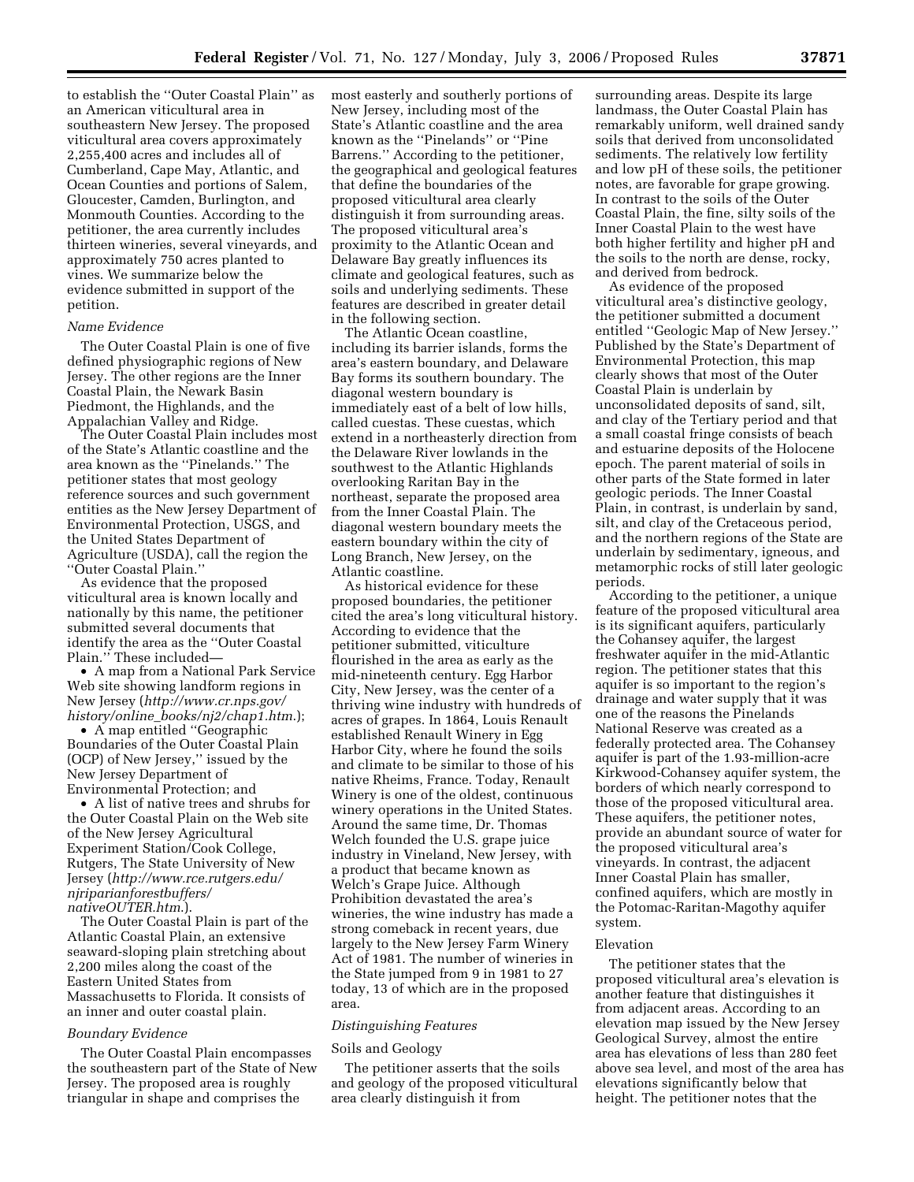to establish the ''Outer Coastal Plain'' as an American viticultural area in southeastern New Jersey. The proposed viticultural area covers approximately 2,255,400 acres and includes all of Cumberland, Cape May, Atlantic, and Ocean Counties and portions of Salem, Gloucester, Camden, Burlington, and Monmouth Counties. According to the petitioner, the area currently includes thirteen wineries, several vineyards, and approximately 750 acres planted to vines. We summarize below the evidence submitted in support of the petition.

## *Name Evidence*

The Outer Coastal Plain is one of five defined physiographic regions of New Jersey. The other regions are the Inner Coastal Plain, the Newark Basin Piedmont, the Highlands, and the Appalachian Valley and Ridge.

The Outer Coastal Plain includes most of the State's Atlantic coastline and the area known as the ''Pinelands.'' The petitioner states that most geology reference sources and such government entities as the New Jersey Department of Environmental Protection, USGS, and the United States Department of Agriculture (USDA), call the region the ''Outer Coastal Plain.''

As evidence that the proposed viticultural area is known locally and nationally by this name, the petitioner submitted several documents that identify the area as the ''Outer Coastal Plain.'' These included—

• A map from a National Park Service Web site showing landform regions in New Jersey (*http://www.cr.nps.gov/ history/online*\_*books/nj2/chap1.htm*.);

• A map entitled ''Geographic Boundaries of the Outer Coastal Plain (OCP) of New Jersey,'' issued by the New Jersey Department of Environmental Protection; and

• A list of native trees and shrubs for the Outer Coastal Plain on the Web site of the New Jersey Agricultural Experiment Station/Cook College, Rutgers, The State University of New Jersey (*http://www.rce.rutgers.edu/ njriparianforestbuffers/ nativeOUTER.htm*.).

The Outer Coastal Plain is part of the Atlantic Coastal Plain, an extensive seaward-sloping plain stretching about 2,200 miles along the coast of the Eastern United States from Massachusetts to Florida. It consists of an inner and outer coastal plain.

#### *Boundary Evidence*

The Outer Coastal Plain encompasses the southeastern part of the State of New Jersey. The proposed area is roughly triangular in shape and comprises the

most easterly and southerly portions of New Jersey, including most of the State's Atlantic coastline and the area known as the ''Pinelands'' or ''Pine Barrens.'' According to the petitioner, the geographical and geological features that define the boundaries of the proposed viticultural area clearly distinguish it from surrounding areas. The proposed viticultural area's proximity to the Atlantic Ocean and Delaware Bay greatly influences its climate and geological features, such as soils and underlying sediments. These features are described in greater detail in the following section.

The Atlantic Ocean coastline, including its barrier islands, forms the area's eastern boundary, and Delaware Bay forms its southern boundary. The diagonal western boundary is immediately east of a belt of low hills, called cuestas. These cuestas, which extend in a northeasterly direction from the Delaware River lowlands in the southwest to the Atlantic Highlands overlooking Raritan Bay in the northeast, separate the proposed area from the Inner Coastal Plain. The diagonal western boundary meets the eastern boundary within the city of Long Branch, New Jersey, on the Atlantic coastline.

As historical evidence for these proposed boundaries, the petitioner cited the area's long viticultural history. According to evidence that the petitioner submitted, viticulture flourished in the area as early as the mid-nineteenth century. Egg Harbor City, New Jersey, was the center of a thriving wine industry with hundreds of acres of grapes. In 1864, Louis Renault established Renault Winery in Egg Harbor City, where he found the soils and climate to be similar to those of his native Rheims, France. Today, Renault Winery is one of the oldest, continuous winery operations in the United States. Around the same time, Dr. Thomas Welch founded the U.S. grape juice industry in Vineland, New Jersey, with a product that became known as Welch's Grape Juice. Although Prohibition devastated the area's wineries, the wine industry has made a strong comeback in recent years, due largely to the New Jersey Farm Winery Act of 1981. The number of wineries in the State jumped from 9 in 1981 to 27 today, 13 of which are in the proposed area.

#### *Distinguishing Features*

### Soils and Geology

The petitioner asserts that the soils and geology of the proposed viticultural area clearly distinguish it from

surrounding areas. Despite its large landmass, the Outer Coastal Plain has remarkably uniform, well drained sandy soils that derived from unconsolidated sediments. The relatively low fertility and low pH of these soils, the petitioner notes, are favorable for grape growing. In contrast to the soils of the Outer Coastal Plain, the fine, silty soils of the Inner Coastal Plain to the west have both higher fertility and higher pH and the soils to the north are dense, rocky, and derived from bedrock.

As evidence of the proposed viticultural area's distinctive geology, the petitioner submitted a document entitled ''Geologic Map of New Jersey.'' Published by the State's Department of Environmental Protection, this map clearly shows that most of the Outer Coastal Plain is underlain by unconsolidated deposits of sand, silt, and clay of the Tertiary period and that a small coastal fringe consists of beach and estuarine deposits of the Holocene epoch. The parent material of soils in other parts of the State formed in later geologic periods. The Inner Coastal Plain, in contrast, is underlain by sand, silt, and clay of the Cretaceous period, and the northern regions of the State are underlain by sedimentary, igneous, and metamorphic rocks of still later geologic periods.

According to the petitioner, a unique feature of the proposed viticultural area is its significant aquifers, particularly the Cohansey aquifer, the largest freshwater aquifer in the mid-Atlantic region. The petitioner states that this aquifer is so important to the region's drainage and water supply that it was one of the reasons the Pinelands National Reserve was created as a federally protected area. The Cohansey aquifer is part of the 1.93-million-acre Kirkwood-Cohansey aquifer system, the borders of which nearly correspond to those of the proposed viticultural area. These aquifers, the petitioner notes, provide an abundant source of water for the proposed viticultural area's vineyards. In contrast, the adjacent Inner Coastal Plain has smaller, confined aquifers, which are mostly in the Potomac-Raritan-Magothy aquifer system.

#### Elevation

The petitioner states that the proposed viticultural area's elevation is another feature that distinguishes it from adjacent areas. According to an elevation map issued by the New Jersey Geological Survey, almost the entire area has elevations of less than 280 feet above sea level, and most of the area has elevations significantly below that height. The petitioner notes that the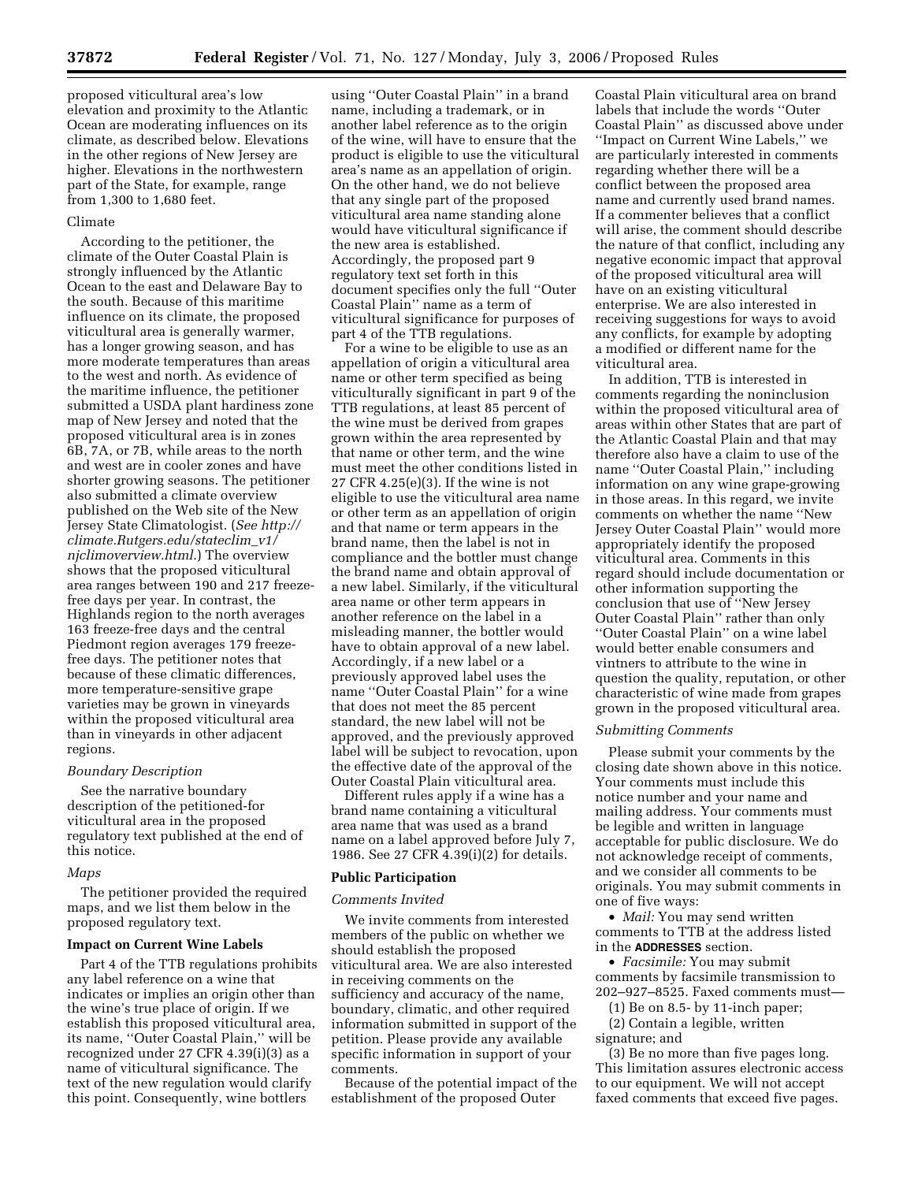proposed viticultural area's low elevation and proximity to the Atlantic Ocean are moderating influences on its climate, as described below. Elevations in the other regions of New Jersey are higher. Elevations in the northwestern part of the State, for example, range from 1,300 to 1,680 feet.

### Climate

According to the petitioner, the climate of the Outer Coastal Plain is strongly influenced by the Atlantic Ocean to the east and Delaware Bay to the south. Because of this maritime influence on its climate, the proposed viticultural area is generally warmer, has a longer growing season, and has more moderate temperatures than areas to the west and north. As evidence of the maritime influence, the petitioner submitted a USDA plant hardiness zone map of New Jersey and noted that the proposed viticultural area is in zones 6B, 7A, or 7B, while areas to the north and west are in cooler zones and have shorter growing seasons. The petitioner also submitted a climate overview published on the Web site of the New Jersey State Climatologist. (*See http:// climate.Rutgers.edu/stateclim*\_*v1/ njclimoverview.html*.) The overview shows that the proposed viticultural area ranges between 190 and 217 freezefree days per year. In contrast, the Highlands region to the north averages 163 freeze-free days and the central Piedmont region averages 179 freezefree days. The petitioner notes that because of these climatic differences, more temperature-sensitive grape varieties may be grown in vineyards within the proposed viticultural area than in vineyards in other adjacent regions.

### *Boundary Description*

See the narrative boundary description of the petitioned-for viticultural area in the proposed regulatory text published at the end of this notice.

#### *Maps*

The petitioner provided the required maps, and we list them below in the proposed regulatory text.

### **Impact on Current Wine Labels**

Part 4 of the TTB regulations prohibits any label reference on a wine that indicates or implies an origin other than the wine's true place of origin. If we establish this proposed viticultural area, its name, ''Outer Coastal Plain,'' will be recognized under 27 CFR 4.39(i)(3) as a name of viticultural significance. The text of the new regulation would clarify this point. Consequently, wine bottlers

using ''Outer Coastal Plain'' in a brand name, including a trademark, or in another label reference as to the origin of the wine, will have to ensure that the product is eligible to use the viticultural area's name as an appellation of origin. On the other hand, we do not believe that any single part of the proposed viticultural area name standing alone would have viticultural significance if the new area is established. Accordingly, the proposed part 9 regulatory text set forth in this document specifies only the full ''Outer Coastal Plain'' name as a term of viticultural significance for purposes of part 4 of the TTB regulations.

For a wine to be eligible to use as an appellation of origin a viticultural area name or other term specified as being viticulturally significant in part 9 of the TTB regulations, at least 85 percent of the wine must be derived from grapes grown within the area represented by that name or other term, and the wine must meet the other conditions listed in 27 CFR 4.25(e)(3). If the wine is not eligible to use the viticultural area name or other term as an appellation of origin and that name or term appears in the brand name, then the label is not in compliance and the bottler must change the brand name and obtain approval of a new label. Similarly, if the viticultural area name or other term appears in another reference on the label in a misleading manner, the bottler would have to obtain approval of a new label. Accordingly, if a new label or a previously approved label uses the name ''Outer Coastal Plain'' for a wine that does not meet the 85 percent standard, the new label will not be approved, and the previously approved label will be subject to revocation, upon the effective date of the approval of the Outer Coastal Plain viticultural area.

Different rules apply if a wine has a brand name containing a viticultural area name that was used as a brand name on a label approved before July 7, 1986. See 27 CFR 4.39(i)(2) for details.

### **Public Participation**

#### *Comments Invited*

We invite comments from interested members of the public on whether we should establish the proposed viticultural area. We are also interested in receiving comments on the sufficiency and accuracy of the name, boundary, climatic, and other required information submitted in support of the petition. Please provide any available specific information in support of your comments.

Because of the potential impact of the establishment of the proposed Outer

Coastal Plain viticultural area on brand labels that include the words ''Outer Coastal Plain'' as discussed above under ''Impact on Current Wine Labels,'' we are particularly interested in comments regarding whether there will be a conflict between the proposed area name and currently used brand names. If a commenter believes that a conflict will arise, the comment should describe the nature of that conflict, including any negative economic impact that approval of the proposed viticultural area will have on an existing viticultural enterprise. We are also interested in receiving suggestions for ways to avoid any conflicts, for example by adopting a modified or different name for the viticultural area.

In addition, TTB is interested in comments regarding the noninclusion within the proposed viticultural area of areas within other States that are part of the Atlantic Coastal Plain and that may therefore also have a claim to use of the name ''Outer Coastal Plain,'' including information on any wine grape-growing in those areas. In this regard, we invite comments on whether the name ''New Jersey Outer Coastal Plain'' would more appropriately identify the proposed viticultural area. Comments in this regard should include documentation or other information supporting the conclusion that use of ''New Jersey Outer Coastal Plain'' rather than only ''Outer Coastal Plain'' on a wine label would better enable consumers and vintners to attribute to the wine in question the quality, reputation, or other characteristic of wine made from grapes grown in the proposed viticultural area.

#### *Submitting Comments*

Please submit your comments by the closing date shown above in this notice. Your comments must include this notice number and your name and mailing address. Your comments must be legible and written in language acceptable for public disclosure. We do not acknowledge receipt of comments, and we consider all comments to be originals. You may submit comments in one of five ways:

• *Mail:* You may send written comments to TTB at the address listed in the **ADDRESSES** section.

• *Facsimile:* You may submit comments by facsimile transmission to 202–927–8525. Faxed comments must—

- (1) Be on 8.5- by 11-inch paper;
- (2) Contain a legible, written signature; and

(3) Be no more than five pages long. This limitation assures electronic access to our equipment. We will not accept faxed comments that exceed five pages.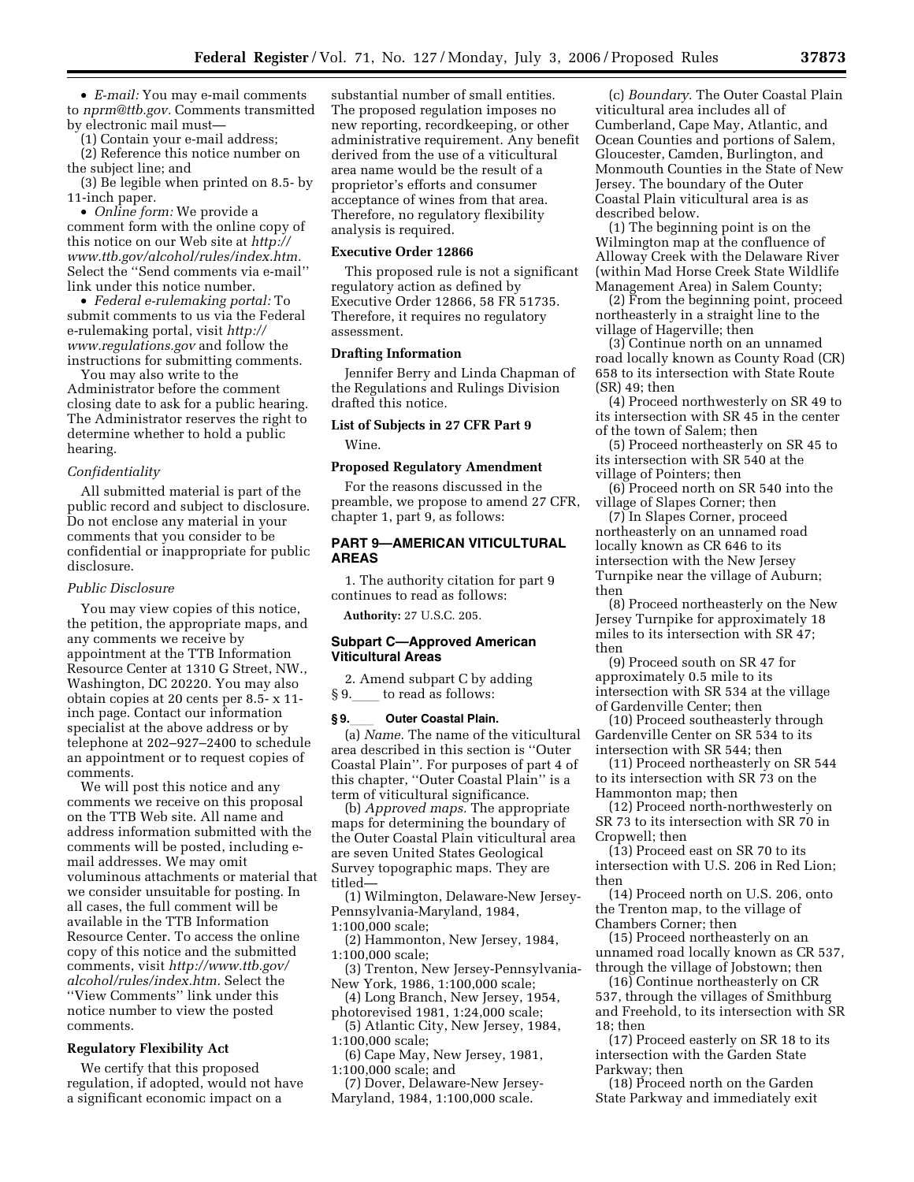• *E-mail:* You may e-mail comments to *nprm@ttb.gov.* Comments transmitted by electronic mail must-

(1) Contain your e-mail address;

(2) Reference this notice number on the subject line; and

(3) Be legible when printed on 8.5- by 11-inch paper.

• *Online form:* We provide a comment form with the online copy of this notice on our Web site at *http:// www.ttb.gov/alcohol/rules/index.htm.*  Select the ''Send comments via e-mail'' link under this notice number.

• *Federal e-rulemaking portal:* To submit comments to us via the Federal e-rulemaking portal, visit *http:// www.regulations.gov* and follow the instructions for submitting comments.

You may also write to the Administrator before the comment closing date to ask for a public hearing. The Administrator reserves the right to determine whether to hold a public hearing.

#### *Confidentiality*

All submitted material is part of the public record and subject to disclosure. Do not enclose any material in your comments that you consider to be confidential or inappropriate for public disclosure.

### *Public Disclosure*

You may view copies of this notice, the petition, the appropriate maps, and any comments we receive by appointment at the TTB Information Resource Center at 1310 G Street, NW., Washington, DC 20220. You may also obtain copies at 20 cents per 8.5- x 11 inch page. Contact our information specialist at the above address or by telephone at 202–927–2400 to schedule an appointment or to request copies of comments.

We will post this notice and any comments we receive on this proposal on the TTB Web site. All name and address information submitted with the comments will be posted, including email addresses. We may omit voluminous attachments or material that we consider unsuitable for posting. In all cases, the full comment will be available in the TTB Information Resource Center. To access the online copy of this notice and the submitted comments, visit *http://www.ttb.gov/ alcohol/rules/index.htm.* Select the ''View Comments'' link under this notice number to view the posted comments.

# **Regulatory Flexibility Act**

We certify that this proposed regulation, if adopted, would not have a significant economic impact on a

substantial number of small entities. The proposed regulation imposes no new reporting, recordkeeping, or other administrative requirement. Any benefit derived from the use of a viticultural area name would be the result of a proprietor's efforts and consumer acceptance of wines from that area. Therefore, no regulatory flexibility analysis is required.

## **Executive Order 12866**

This proposed rule is not a significant regulatory action as defined by Executive Order 12866, 58 FR 51735. Therefore, it requires no regulatory assessment.

## **Drafting Information**

Jennifer Berry and Linda Chapman of the Regulations and Rulings Division drafted this notice.

# **List of Subjects in 27 CFR Part 9**  Wine.

#### **Proposed Regulatory Amendment**

For the reasons discussed in the preamble, we propose to amend 27 CFR, chapter 1, part 9, as follows:

## **PART 9—AMERICAN VITICULTURAL AREAS**

1. The authority citation for part 9 continues to read as follows:

**Authority:** 27 U.S.C. 205.

## **Subpart C—Approved American Viticultural Areas**

2. Amend subpart C by adding § 9. to read as follows:<br>§ 9. Outer Coastal Plain

### **§ 9.**ll **Outer Coastal Plain.**

(a) *Name.* The name of the viticultural area described in this section is ''Outer Coastal Plain''. For purposes of part 4 of this chapter, ''Outer Coastal Plain'' is a term of viticultural significance.

(b) *Approved maps.* The appropriate maps for determining the boundary of the Outer Coastal Plain viticultural area are seven United States Geological Survey topographic maps. They are titled—

(1) Wilmington, Delaware-New Jersey-Pennsylvania-Maryland, 1984, 1:100,000 scale;

(2) Hammonton, New Jersey, 1984, 1:100,000 scale;

(3) Trenton, New Jersey-Pennsylvania-New York, 1986, 1:100,000 scale;

(4) Long Branch, New Jersey, 1954, photorevised 1981, 1:24,000 scale;

(5) Atlantic City, New Jersey, 1984, 1:100,000 scale;

(6) Cape May, New Jersey, 1981, 1:100,000 scale; and

(7) Dover, Delaware-New Jersey-Maryland, 1984, 1:100,000 scale.

(c) *Boundary.* The Outer Coastal Plain viticultural area includes all of Cumberland, Cape May, Atlantic, and Ocean Counties and portions of Salem, Gloucester, Camden, Burlington, and Monmouth Counties in the State of New Jersey. The boundary of the Outer Coastal Plain viticultural area is as described below.

(1) The beginning point is on the Wilmington map at the confluence of Alloway Creek with the Delaware River (within Mad Horse Creek State Wildlife Management Area) in Salem County;

(2) From the beginning point, proceed northeasterly in a straight line to the village of Hagerville; then

(3) Continue north on an unnamed road locally known as County Road (CR) 658 to its intersection with State Route (SR) 49; then

(4) Proceed northwesterly on SR 49 to its intersection with SR 45 in the center of the town of Salem; then

(5) Proceed northeasterly on SR 45 to its intersection with SR 540 at the village of Pointers; then

(6) Proceed north on SR 540 into the village of Slapes Corner; then

(7) In Slapes Corner, proceed northeasterly on an unnamed road locally known as CR 646 to its intersection with the New Jersey Turnpike near the village of Auburn; then

(8) Proceed northeasterly on the New Jersey Turnpike for approximately 18 miles to its intersection with SR 47; then

(9) Proceed south on SR 47 for approximately 0.5 mile to its intersection with SR 534 at the village of Gardenville Center; then

(10) Proceed southeasterly through Gardenville Center on SR 534 to its intersection with SR 544; then

(11) Proceed northeasterly on SR 544 to its intersection with SR 73 on the Hammonton map; then

(12) Proceed north-northwesterly on SR 73 to its intersection with SR 70 in Cropwell; then

(13) Proceed east on SR 70 to its intersection with U.S. 206 in Red Lion; then

(14) Proceed north on U.S. 206, onto the Trenton map, to the village of Chambers Corner; then

(15) Proceed northeasterly on an unnamed road locally known as CR 537, through the village of Jobstown; then

(16) Continue northeasterly on CR 537, through the villages of Smithburg and Freehold, to its intersection with SR 18; then

(17) Proceed easterly on SR 18 to its intersection with the Garden State Parkway; then

(18) Proceed north on the Garden State Parkway and immediately exit